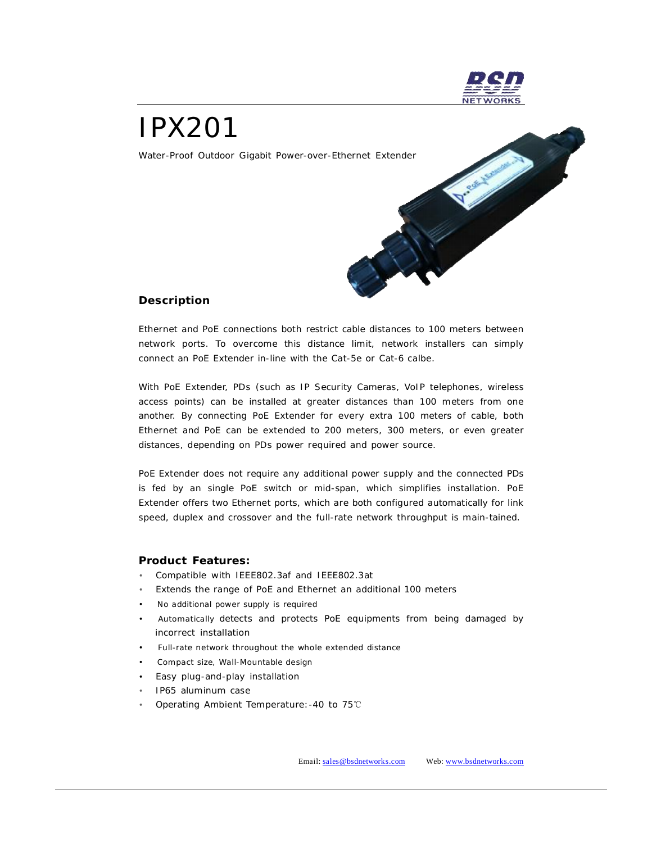

# IPX201

Water-Proof Outdoor Gigabit Power-over-Ethernet Extender



### **Description**

Ethernet and PoE connections both restrict cable distances to 100 meters between network ports. To overcome this distance limit, network installers can simply connect an PoE Extender in-line with the Cat-5e or Cat-6 calbe.

With PoE Extender, PDs (such as IP Security Cameras, VoIP telephones, wireless access points) can be installed at greater distances than 100 meters from one another. By connecting PoE Extender for every extra 100 meters of cable, both Ethernet and PoE can be extended to 200 meters, 300 meters, or even greater distances, depending on PDs power required and power source.

PoE Extender does not require any additional power supply and the connected PDs is fed by an single PoE switch or mid-span, which simplifies installation. PoE Extender offers two Ethernet ports, which are both configured automatically for link speed, duplex and crossover and the full-rate network throughput is main-tained.

#### **Product Features:**

- Compatible with IEEE802.3af and IEEE802.3at
- Extends the range of PoE and Ethernet an additional 100 meters
- No additional power supply is required
- Automatically detects and protects PoE equipments from being damaged by incorrect installation
- Full-rate network throughout the whole extended distance
- Compact size, Wall-Mountable design
- Easy plug-and-play installation
- IP65 aluminum case
- Operating Ambient Temperature:-40 to 75℃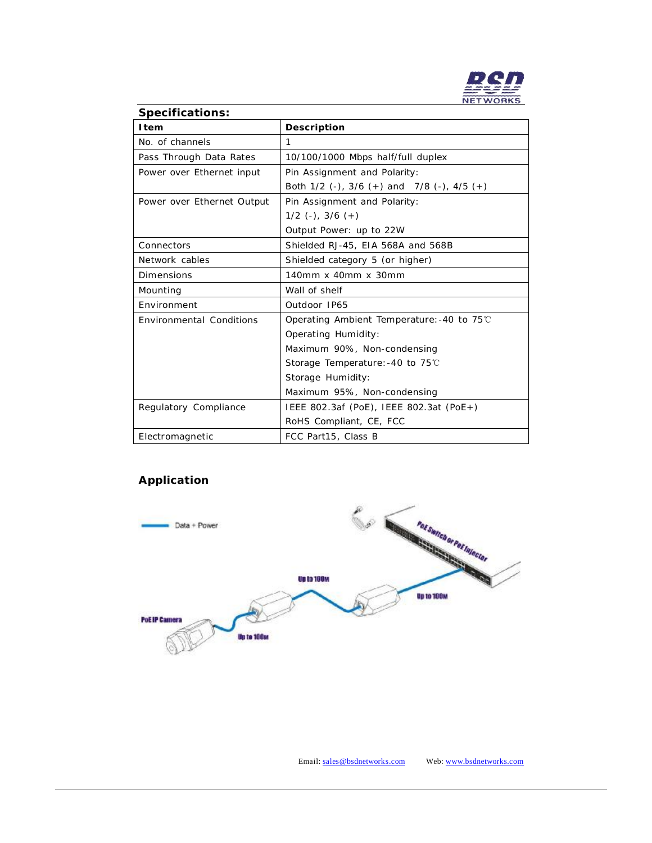

## **Specifications: Item** Description No. of channels 1 Pass Through Data Rates | 10/100/1000 Mbps half/full duplex Power over Ethernet input  $\vert$  Pin Assignment and Polarity: Both 1/2 (-), 3/6 (+) and 7/8 (-), 4/5 (+) Power over Ethernet Output | Pin Assignment and Polarity: 1/2 (-), 3/6 (+) Output Power: up to 22W Connectors Shielded RJ-45, EIA 568A and 568B Network cables <br>
Shielded category 5 (or higher) Dimensions 140mm x 40mm x 30mm Mounting Wall of shelf Environment | Outdoor IP65 Environmental Conditions Operating Ambient Temperature:-40 to 75℃ Operating Humidity: Maximum 90%, Non-condensing Storage Temperature:-40 to 75℃ Storage Humidity: Maximum 95%, Non-condensing Regulatory Compliance | IEEE 802.3af (PoE), IEEE 802.3at (PoE+) RoHS Compliant, CE, FCC Electromagnetic FCC Part15, Class B

## **Application**